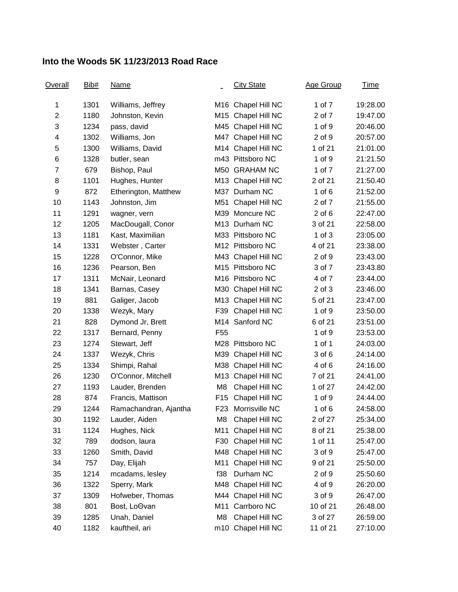## **Into the Woods 5K 11/23/2013 Road Race**

| <b>Overall</b> | Bib# | <b>Name</b>           |                 | <b>City State</b>  | Age Group  | <u>Time</u> |
|----------------|------|-----------------------|-----------------|--------------------|------------|-------------|
| 1              | 1301 | Williams, Jeffrey     |                 | M16 Chapel Hill NC | 1 of 7     | 19:28.00    |
| $\overline{2}$ | 1180 | Johnston, Kevin       |                 | M15 Chapel Hill NC | 2 of 7     | 19:47.00    |
| 3              | 1234 | pass, david           |                 | M45 Chapel Hill NC | 1 of 9     | 20:46.00    |
| 4              | 1302 | Williams, Jon         |                 | M47 Chapel Hill NC | 2 of 9     | 20:57.00    |
| 5              | 1300 | Williams, David       |                 | M14 Chapel Hill NC | 1 of 21    | 21:01.00    |
| 6              | 1328 | butler, sean          |                 | m43 Pittsboro NC   | 1 of 9     | 21:21.50    |
| $\overline{7}$ | 679  | Bishop, Paul          |                 | M50 GRAHAM NC      | 1 of 7     | 21:27.00    |
| 8              | 1101 | Hughes, Hunter        |                 | M13 Chapel Hill NC | 2 of 21    | 21:50.40    |
| 9              | 872  | Etherington, Matthew  |                 | M37 Durham NC      | 1 of $6$   | 21:52.00    |
| 10             | 1143 | Johnston, Jim         | M51             | Chapel Hill NC     | 2 of 7     | 21:55.00    |
| 11             | 1291 | wagner, vern          |                 | M39 Moncure NC     | $2$ of $6$ | 22:47.00    |
| 12             | 1205 | MacDougall, Conor     |                 | M13 Durham NC      | 3 of 21    | 22:58.00    |
| 13             | 1181 | Kast, Maximilian      |                 | M33 Pittsboro NC   | 1 of $3$   | 23:05.00    |
| 14             | 1331 | Webster, Carter       |                 | M12 Pittsboro NC   | 4 of 21    | 23:38.00    |
| 15             | 1228 | O'Connor, Mike        |                 | M43 Chapel Hill NC | 2 of 9     | 23:43.00    |
| 16             | 1236 | Pearson, Ben          |                 | M15 Pittsboro NC   | 3 of 7     | 23:43.80    |
| 17             | 1311 | McNair, Leonard       |                 | M16 Pittsboro NC   | 4 of 7     | 23:44.00    |
| 18             | 1341 | Barnas, Casey         |                 | M30 Chapel Hill NC | $2$ of $3$ | 23:46.00    |
| 19             | 881  | Galiger, Jacob        |                 | M13 Chapel Hill NC | 5 of 21    | 23:47.00    |
| 20             | 1338 | Wezyk, Mary           |                 | F39 Chapel Hill NC | $1$ of $9$ | 23:50.00    |
| 21             | 828  | Dymond Jr, Brett      |                 | M14 Sanford NC     | 6 of 21    | 23:51.00    |
| 22             | 1317 | Bernard, Penny        | F <sub>55</sub> |                    | 1 of 9     | 23:53.00    |
| 23             | 1274 | Stewart, Jeff         |                 | M28 Pittsboro NC   | 1 of 1     | 24:03.00    |
| 24             | 1337 | Wezyk, Chris          | M39             | Chapel Hill NC     | 3 of 6     | 24:14.00    |
| 25             | 1334 | Shimpi, Rahal         |                 | M38 Chapel Hill NC | 4 of 6     | 24:16.00    |
| 26             | 1230 | O'Connor, Mitchell    |                 | M13 Chapel Hill NC | 7 of 21    | 24:41.00    |
| 27             | 1193 | Lauder, Brenden       | M8              | Chapel Hill NC     | 1 of 27    | 24:42.00    |
| 28             | 874  | Francis, Mattison     | F <sub>15</sub> | Chapel Hill NC     | $1$ of $9$ | 24:44.00    |
| 29             | 1244 | Ramachandran, Ajantha | F23             | Morrisville NC     | $1$ of $6$ | 24:58.00    |
| 30             | 1192 | Lauder, Aiden         | M8              | Chapel Hill NC     | 2 of 27    | 25:34.00    |
| 31             | 1124 | Hughes, Nick          | M11             | Chapel Hill NC     | 8 of 21    | 25:38.00    |
| 32             | 789  | dodson, laura         | F30             | Chapel Hill NC     | 1 of 11    | 25:47.00    |
| 33             | 1260 | Smith, David          |                 | M48 Chapel Hill NC | 3 of 9     | 25:47.00    |
| 34             | 757  | Day, Elijah           | M11             | Chapel Hill NC     | 9 of 21    | 25:50.00    |
| 35             | 1214 | mcadams, lesley       | f38             | Durham NC          | 2 of 9     | 25:50.60    |
| 36             | 1322 | Sperry, Mark          |                 | M48 Chapel Hill NC | 4 of 9     | 26:20.00    |
| 37             | 1309 | Hofweber, Thomas      |                 | M44 Chapel Hill NC | 3 of 9     | 26:47.00    |
| 38             | 801  | Bost, LoOvan          | M11             | Carrboro NC        | 10 of 21   | 26:48.00    |
| 39             | 1285 | Unah, Daniel          | M8              | Chapel Hill NC     | 3 of 27    | 26:59.00    |
| 40             | 1182 | kauftheil, ari        |                 | m10 Chapel Hill NC | 11 of 21   | 27:10.00    |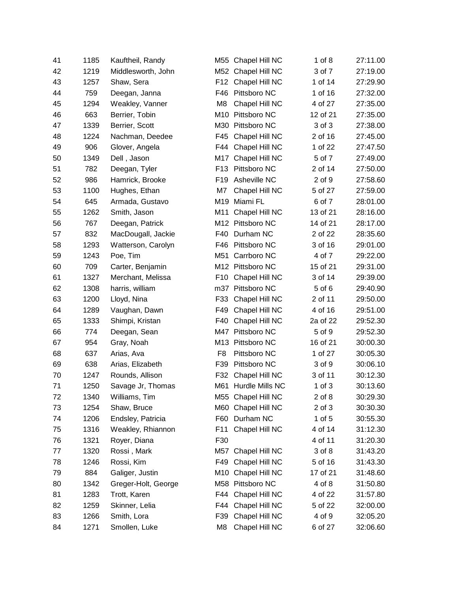| 41 | 1185 | Kauftheil, Randy    |                 | M55 Chapel Hill NC  | 1 of $8$   | 27:11.00 |
|----|------|---------------------|-----------------|---------------------|------------|----------|
| 42 | 1219 | Middlesworth, John  | M52             | Chapel Hill NC      | 3 of 7     | 27:19.00 |
| 43 | 1257 | Shaw, Sera          | F12             | Chapel Hill NC      | 1 of 14    | 27:29.90 |
| 44 | 759  | Deegan, Janna       | F46             | Pittsboro NC        | 1 of 16    | 27:32.00 |
| 45 | 1294 | Weakley, Vanner     | M <sub>8</sub>  | Chapel Hill NC      | 4 of 27    | 27:35.00 |
| 46 | 663  | Berrier, Tobin      | M10             | Pittsboro NC        | 12 of 21   | 27:35.00 |
| 47 | 1339 | Berrier, Scott      | M30             | Pittsboro NC        | 3 of 3     | 27:38.00 |
| 48 | 1224 | Nachman, Deedee     | F45             | Chapel Hill NC      | 2 of 16    | 27:45.00 |
| 49 | 906  | Glover, Angela      | F44             | Chapel Hill NC      | 1 of 22    | 27:47.50 |
| 50 | 1349 | Dell, Jason         | M17             | Chapel Hill NC      | 5 of 7     | 27:49.00 |
| 51 | 782  | Deegan, Tyler       | F <sub>13</sub> | Pittsboro NC        | 2 of 14    | 27:50.00 |
| 52 | 986  | Hamrick, Brooke     | F <sub>19</sub> | Asheville NC        | 2 of 9     | 27:58.60 |
| 53 | 1100 | Hughes, Ethan       | M7              | Chapel Hill NC      | 5 of 27    | 27:59.00 |
| 54 | 645  | Armada, Gustavo     | M19             | Miami FL            | 6 of 7     | 28:01.00 |
| 55 | 1262 | Smith, Jason        | M11             | Chapel Hill NC      | 13 of 21   | 28:16.00 |
| 56 | 767  | Deegan, Patrick     |                 | M12 Pittsboro NC    | 14 of 21   | 28:17.00 |
| 57 | 832  | MacDougall, Jackie  | F40             | Durham NC           | 2 of 22    | 28:35.60 |
| 58 | 1293 | Watterson, Carolyn  | F46             | Pittsboro NC        | 3 of 16    | 29:01.00 |
| 59 | 1243 | Poe, Tim            | M51             | Carrboro NC         | 4 of 7     | 29:22.00 |
| 60 | 709  | Carter, Benjamin    |                 | M12 Pittsboro NC    | 15 of 21   | 29:31.00 |
| 61 | 1327 | Merchant, Melissa   | F <sub>10</sub> | Chapel Hill NC      | 3 of 14    | 29:39.00 |
| 62 | 1308 | harris, william     | m37             | Pittsboro NC        | 5 of 6     | 29:40.90 |
| 63 | 1200 | Lloyd, Nina         | F33             | Chapel Hill NC      | 2 of 11    | 29:50.00 |
| 64 | 1289 | Vaughan, Dawn       | F49             | Chapel Hill NC      | 4 of 16    | 29:51.00 |
| 65 | 1333 | Shimpi, Kristan     | F40             | Chapel Hill NC      | 2a of 22   | 29:52.30 |
| 66 | 774  | Deegan, Sean        | M47             | Pittsboro NC        | 5 of 9     | 29:52.30 |
| 67 | 954  | Gray, Noah          |                 | M13 Pittsboro NC    | 16 of 21   | 30:00.30 |
| 68 | 637  | Arias, Ava          | F <sub>8</sub>  | Pittsboro NC        | 1 of 27    | 30:05.30 |
| 69 | 638  | Arias, Elizabeth    | F39             | Pittsboro NC        | 3 of 9     | 30:06.10 |
| 70 | 1247 | Rounds, Allison     | F32             | Chapel Hill NC      | 3 of 11    | 30:12.30 |
| 71 | 1250 | Savage Jr, Thomas   |                 | M61 Hurdle Mills NC | $1$ of $3$ | 30:13.60 |
| 72 | 1340 | Williams, Tim       |                 | M55 Chapel Hill NC  | 2 of 8     | 30:29.30 |
| 73 | 1254 | Shaw, Bruce         | M60             | Chapel Hill NC      | 2 of 3     | 30:30.30 |
| 74 | 1206 | Endsley, Patricia   | F60             | Durham NC           | 1 of $5$   | 30:55.30 |
| 75 | 1316 | Weakley, Rhiannon   | F11             | Chapel Hill NC      | 4 of 14    | 31:12.30 |
| 76 | 1321 | Royer, Diana        | F30             |                     | 4 of 11    | 31:20.30 |
| 77 | 1320 | Rossi, Mark         | M57             | Chapel Hill NC      | 3 of 8     | 31:43.20 |
| 78 | 1246 | Rossi, Kim          | F49             | Chapel Hill NC      | 5 of 16    | 31:43.30 |
| 79 | 884  | Galiger, Justin     | M10             | Chapel Hill NC      | 17 of 21   | 31:48.60 |
| 80 | 1342 | Greger-Holt, George | M58             | Pittsboro NC        | 4 of 8     | 31:50.80 |
| 81 | 1283 | Trott, Karen        | F44             | Chapel Hill NC      | 4 of 22    | 31:57.80 |
| 82 | 1259 | Skinner, Lelia      | F44             | Chapel Hill NC      | 5 of 22    | 32:00.00 |
| 83 | 1266 | Smith, Lora         | F39             | Chapel Hill NC      | 4 of 9     | 32:05.20 |
| 84 | 1271 | Smollen, Luke       | M8              | Chapel Hill NC      | 6 of 27    | 32:06.60 |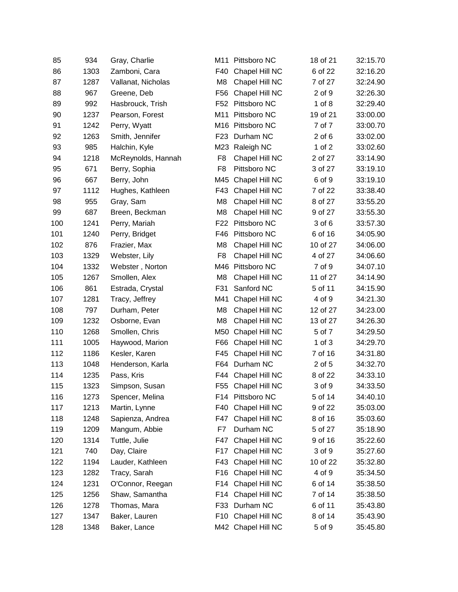| 85  | 934  | Gray, Charlie      | M11             | Pittsboro NC       | 18 of 21   | 32:15.70 |
|-----|------|--------------------|-----------------|--------------------|------------|----------|
| 86  | 1303 | Zamboni, Cara      | F40             | Chapel Hill NC     | 6 of 22    | 32:16.20 |
| 87  | 1287 | Vallanat, Nicholas | M <sub>8</sub>  | Chapel Hill NC     | 7 of 27    | 32:24.90 |
| 88  | 967  | Greene, Deb        | F <sub>56</sub> | Chapel Hill NC     | 2 of 9     | 32:26.30 |
| 89  | 992  | Hasbrouck, Trish   | F52             | Pittsboro NC       | $1$ of $8$ | 32:29.40 |
| 90  | 1237 | Pearson, Forest    | M11             | Pittsboro NC       | 19 of 21   | 33:00.00 |
| 91  | 1242 | Perry, Wyatt       | M16             | Pittsboro NC       | 7 of 7     | 33:00.70 |
| 92  | 1263 | Smith, Jennifer    | F <sub>23</sub> | Durham NC          | $2$ of $6$ | 33:02.00 |
| 93  | 985  | Halchin, Kyle      | M23             | Raleigh NC         | 1 of $2$   | 33:02.60 |
| 94  | 1218 | McReynolds, Hannah | F <sub>8</sub>  | Chapel Hill NC     | 2 of 27    | 33:14.90 |
| 95  | 671  | Berry, Sophia      | F <sub>8</sub>  | Pittsboro NC       | 3 of 27    | 33:19.10 |
| 96  | 667  | Berry, John        | M45             | Chapel Hill NC     | 6 of 9     | 33:19.10 |
| 97  | 1112 | Hughes, Kathleen   | F43             | Chapel Hill NC     | 7 of 22    | 33:38.40 |
| 98  | 955  | Gray, Sam          | M8              | Chapel Hill NC     | 8 of 27    | 33:55.20 |
| 99  | 687  | Breen, Beckman     | M <sub>8</sub>  | Chapel Hill NC     | 9 of 27    | 33:55.30 |
| 100 | 1241 | Perry, Mariah      | F <sub>22</sub> | Pittsboro NC       | 3 of 6     | 33:57.30 |
| 101 | 1240 | Perry, Bridget     | F46             | Pittsboro NC       | 6 of 16    | 34:05.90 |
| 102 | 876  | Frazier, Max       | M8              | Chapel Hill NC     | 10 of 27   | 34:06.00 |
| 103 | 1329 | Webster, Lily      | F <sub>8</sub>  | Chapel Hill NC     | 4 of 27    | 34:06.60 |
| 104 | 1332 | Webster, Norton    | M46             | Pittsboro NC       | 7 of 9     | 34:07.10 |
| 105 | 1267 | Smollen, Alex      | M8              | Chapel Hill NC     | 11 of 27   | 34:14.90 |
| 106 | 861  | Estrada, Crystal   | F31             | Sanford NC         | 5 of 11    | 34:15.90 |
| 107 | 1281 | Tracy, Jeffrey     | M41             | Chapel Hill NC     | 4 of 9     | 34:21.30 |
| 108 | 797  | Durham, Peter      | M8              | Chapel Hill NC     | 12 of 27   | 34:23.00 |
| 109 | 1232 | Osborne, Evan      | M8              | Chapel Hill NC     | 13 of 27   | 34:26.30 |
| 110 | 1268 | Smollen, Chris     | M50             | Chapel Hill NC     | 5 of 7     | 34:29.50 |
| 111 | 1005 | Haywood, Marion    | F66             | Chapel Hill NC     | $1$ of $3$ | 34:29.70 |
| 112 | 1186 | Kesler, Karen      | F45             | Chapel Hill NC     | 7 of 16    | 34:31.80 |
| 113 | 1048 | Henderson, Karla   | F64             | Durham NC          | 2 of 5     | 34:32.70 |
| 114 | 1235 | Pass, Kris         | F44             | Chapel Hill NC     | 8 of 22    | 34:33.10 |
| 115 | 1323 | Simpson, Susan     | F <sub>55</sub> | Chapel Hill NC     | 3 of 9     | 34:33.50 |
| 116 | 1273 | Spencer, Melina    |                 | F14 Pittsboro NC   | 5 of 14    | 34:40.10 |
| 117 | 1213 | Martin, Lynne      | F40             | Chapel Hill NC     | 9 of 22    | 35:03.00 |
| 118 | 1248 | Sapienza, Andrea   | F47             | Chapel Hill NC     | 8 of 16    | 35:03.60 |
| 119 | 1209 | Mangum, Abbie      | F7              | Durham NC          | 5 of 27    | 35:18.90 |
| 120 | 1314 | Tuttle, Julie      | F47             | Chapel Hill NC     | 9 of 16    | 35:22.60 |
| 121 | 740  | Day, Claire        | F17             | Chapel Hill NC     | 3 of 9     | 35:27.60 |
| 122 | 1194 | Lauder, Kathleen   | F43             | Chapel Hill NC     | 10 of 22   | 35:32.80 |
| 123 | 1282 | Tracy, Sarah       | F16             | Chapel Hill NC     | 4 of 9     | 35:34.50 |
| 124 | 1231 | O'Connor, Reegan   | F14             | Chapel Hill NC     | 6 of 14    | 35:38.50 |
| 125 | 1256 | Shaw, Samantha     | F14             | Chapel Hill NC     | 7 of 14    | 35:38.50 |
| 126 | 1278 | Thomas, Mara       | F33             | Durham NC          | 6 of 11    | 35:43.80 |
| 127 | 1347 | Baker, Lauren      | F10             | Chapel Hill NC     | 8 of 14    | 35:43.90 |
| 128 | 1348 | Baker, Lance       |                 | M42 Chapel Hill NC | 5 of 9     | 35:45.80 |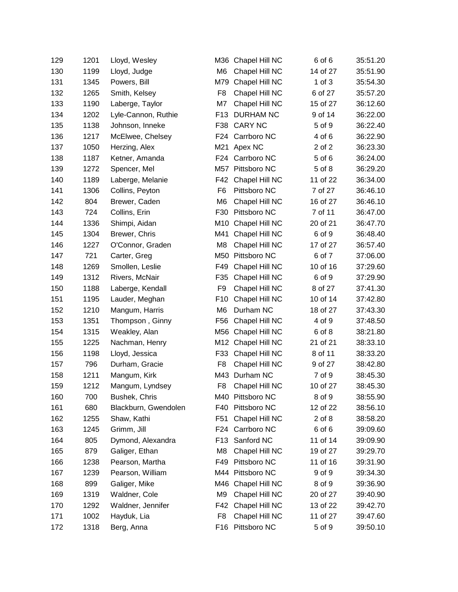| 129 | 1201 | Lloyd, Wesley        | M36             | Chapel Hill NC   | 6 of 6     | 35:51.20 |
|-----|------|----------------------|-----------------|------------------|------------|----------|
| 130 | 1199 | Lloyd, Judge         | M <sub>6</sub>  | Chapel Hill NC   | 14 of 27   | 35:51.90 |
| 131 | 1345 | Powers, Bill         | M79             | Chapel Hill NC   | $1$ of $3$ | 35:54.30 |
| 132 | 1265 | Smith, Kelsey        | F <sub>8</sub>  | Chapel Hill NC   | 6 of 27    | 35:57.20 |
| 133 | 1190 | Laberge, Taylor      | M7              | Chapel Hill NC   | 15 of 27   | 36:12.60 |
| 134 | 1202 | Lyle-Cannon, Ruthie  | F13             | <b>DURHAM NC</b> | 9 of 14    | 36:22.00 |
| 135 | 1138 | Johnson, Inneke      | F38             | <b>CARY NC</b>   | 5 of 9     | 36:22.40 |
| 136 | 1217 | McElwee, Chelsey     | F24             | Carrboro NC      | 4 of 6     | 36:22.90 |
| 137 | 1050 | Herzing, Alex        | M21             | Apex NC          | 2 of 2     | 36:23.30 |
| 138 | 1187 | Ketner, Amanda       | F24             | Carrboro NC      | 5 of 6     | 36:24.00 |
| 139 | 1272 | Spencer, Mel         | M57             | Pittsboro NC     | 5 of 8     | 36:29.20 |
| 140 | 1189 | Laberge, Melanie     | F42             | Chapel Hill NC   | 11 of 22   | 36:34.00 |
| 141 | 1306 | Collins, Peyton      | F <sub>6</sub>  | Pittsboro NC     | 7 of 27    | 36:46.10 |
| 142 | 804  | Brewer, Caden        | M <sub>6</sub>  | Chapel Hill NC   | 16 of 27   | 36:46.10 |
| 143 | 724  | Collins, Erin        | F30             | Pittsboro NC     | 7 of 11    | 36:47.00 |
| 144 | 1336 | Shimpi, Aidan        | M10             | Chapel Hill NC   | 20 of 21   | 36:47.70 |
| 145 | 1304 | Brewer, Chris        | M41             | Chapel Hill NC   | 6 of 9     | 36:48.40 |
| 146 | 1227 | O'Connor, Graden     | M <sub>8</sub>  | Chapel Hill NC   | 17 of 27   | 36:57.40 |
| 147 | 721  | Carter, Greg         | M50             | Pittsboro NC     | 6 of 7     | 37:06.00 |
| 148 | 1269 | Smollen, Leslie      | F49             | Chapel Hill NC   | 10 of 16   | 37:29.60 |
| 149 | 1312 | Rivers, McNair       | F35             | Chapel Hill NC   | 6 of 9     | 37:29.90 |
| 150 | 1188 | Laberge, Kendall     | F <sub>9</sub>  | Chapel Hill NC   | 8 of 27    | 37:41.30 |
| 151 | 1195 | Lauder, Meghan       | F <sub>10</sub> | Chapel Hill NC   | 10 of 14   | 37:42.80 |
| 152 | 1210 | Mangum, Harris       | M <sub>6</sub>  | Durham NC        | 18 of 27   | 37:43.30 |
| 153 | 1351 | Thompson, Ginny      | F56             | Chapel Hill NC   | 4 of 9     | 37:48.50 |
| 154 | 1315 | Weakley, Alan        | M56             | Chapel Hill NC   | 6 of 8     | 38:21.80 |
| 155 | 1225 | Nachman, Henry       | M12             | Chapel Hill NC   | 21 of 21   | 38:33.10 |
| 156 | 1198 | Lloyd, Jessica       | F33             | Chapel Hill NC   | 8 of 11    | 38:33.20 |
| 157 | 796  | Durham, Gracie       | F <sub>8</sub>  | Chapel Hill NC   | 9 of 27    | 38:42.80 |
| 158 | 1211 | Mangum, Kirk         |                 | M43 Durham NC    | 7 of 9     | 38:45.30 |
| 159 | 1212 | Mangum, Lyndsey      | F <sub>8</sub>  | Chapel Hill NC   | 10 of 27   | 38:45.30 |
| 160 | 700  | Bushek, Chris        |                 | M40 Pittsboro NC | 8 of 9     | 38:55.90 |
| 161 | 680  | Blackburn, Gwendolen | F40             | Pittsboro NC     | 12 of 22   | 38:56.10 |
| 162 | 1255 | Shaw, Kathi          | F51             | Chapel Hill NC   | $2$ of $8$ | 38:58.20 |
| 163 | 1245 | Grimm, Jill          | F24             | Carrboro NC      | 6 of 6     | 39:09.60 |
| 164 | 805  | Dymond, Alexandra    | F <sub>13</sub> | Sanford NC       | 11 of 14   | 39:09.90 |
| 165 | 879  | Galiger, Ethan       | M8              | Chapel Hill NC   | 19 of 27   | 39:29.70 |
| 166 | 1238 | Pearson, Martha      | F49             | Pittsboro NC     | 11 of 16   | 39:31.90 |
| 167 | 1239 | Pearson, William     |                 | M44 Pittsboro NC | 9 of 9     | 39:34.30 |
| 168 | 899  | Galiger, Mike        | M46             | Chapel Hill NC   | 8 of 9     | 39:36.90 |
| 169 | 1319 | Waldner, Cole        | M9              | Chapel Hill NC   | 20 of 27   | 39:40.90 |
| 170 | 1292 | Waldner, Jennifer    | F42             | Chapel Hill NC   | 13 of 22   | 39:42.70 |
| 171 | 1002 | Hayduk, Lia          | F <sub>8</sub>  | Chapel Hill NC   | 11 of 27   | 39:47.60 |
| 172 | 1318 | Berg, Anna           |                 | F16 Pittsboro NC | 5 of 9     | 39:50.10 |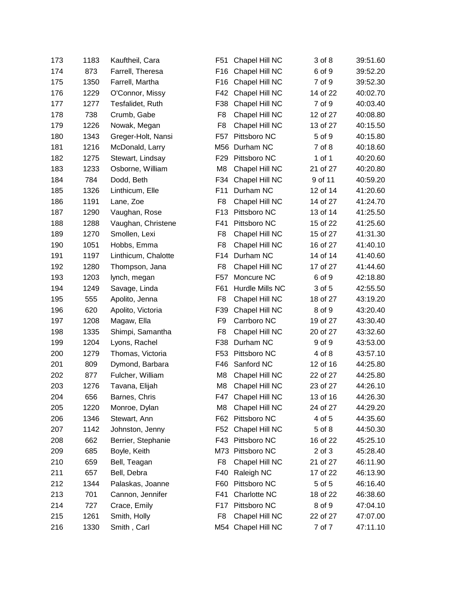| 173 | 1183 | Kauftheil, Cara     | F51             | Chapel Hill NC     | 3 of 8     | 39:51.60 |
|-----|------|---------------------|-----------------|--------------------|------------|----------|
| 174 | 873  | Farrell, Theresa    | F <sub>16</sub> | Chapel Hill NC     | 6 of 9     | 39:52.20 |
| 175 | 1350 | Farrell, Martha     | F <sub>16</sub> | Chapel Hill NC     | 7 of 9     | 39:52.30 |
| 176 | 1229 | O'Connor, Missy     | F42             | Chapel Hill NC     | 14 of 22   | 40:02.70 |
| 177 | 1277 | Tesfalidet, Ruth    | F38             | Chapel Hill NC     | 7 of 9     | 40:03.40 |
| 178 | 738  | Crumb, Gabe         | F <sub>8</sub>  | Chapel Hill NC     | 12 of 27   | 40:08.80 |
| 179 | 1226 | Nowak, Megan        | F <sub>8</sub>  | Chapel Hill NC     | 13 of 27   | 40:15.50 |
| 180 | 1343 | Greger-Holt, Nansi  | F57             | Pittsboro NC       | 5 of 9     | 40:15.80 |
| 181 | 1216 | McDonald, Larry     | M56             | Durham NC          | 7 of 8     | 40:18.60 |
| 182 | 1275 | Stewart, Lindsay    | F <sub>29</sub> | Pittsboro NC       | 1 of 1     | 40:20.60 |
| 183 | 1233 | Osborne, William    | M <sub>8</sub>  | Chapel Hill NC     | 21 of 27   | 40:20.80 |
| 184 | 784  | Dodd, Beth          | F34             | Chapel Hill NC     | 9 of 11    | 40:59.20 |
| 185 | 1326 | Linthicum, Elle     | F11             | Durham NC          | 12 of 14   | 41:20.60 |
| 186 | 1191 | Lane, Zoe           | F <sub>8</sub>  | Chapel Hill NC     | 14 of 27   | 41:24.70 |
| 187 | 1290 | Vaughan, Rose       | F <sub>13</sub> | Pittsboro NC       | 13 of 14   | 41:25.50 |
| 188 | 1288 | Vaughan, Christene  | F41             | Pittsboro NC       | 15 of 22   | 41:25.60 |
| 189 | 1270 | Smollen, Lexi       | F <sub>8</sub>  | Chapel Hill NC     | 15 of 27   | 41:31.30 |
| 190 | 1051 | Hobbs, Emma         | F <sub>8</sub>  | Chapel Hill NC     | 16 of 27   | 41:40.10 |
| 191 | 1197 | Linthicum, Chalotte | F14             | Durham NC          | 14 of 14   | 41:40.60 |
| 192 | 1280 | Thompson, Jana      | F <sub>8</sub>  | Chapel Hill NC     | 17 of 27   | 41:44.60 |
| 193 | 1203 | lynch, megan        | F <sub>57</sub> | Moncure NC         | 6 of 9     | 42:18.80 |
| 194 | 1249 | Savage, Linda       | F61             | Hurdle Mills NC    | 3 of 5     | 42:55.50 |
| 195 | 555  | Apolito, Jenna      | F <sub>8</sub>  | Chapel Hill NC     | 18 of 27   | 43:19.20 |
| 196 | 620  | Apolito, Victoria   | F39             | Chapel Hill NC     | 8 of 9     | 43:20.40 |
| 197 | 1208 | Magaw, Ella         | F <sub>9</sub>  | Carrboro NC        | 19 of 27   | 43:30.40 |
| 198 | 1335 | Shimpi, Samantha    | F <sub>8</sub>  | Chapel Hill NC     | 20 of 27   | 43:32.60 |
| 199 | 1204 | Lyons, Rachel       | F38             | Durham NC          | 9 of 9     | 43:53.00 |
| 200 | 1279 | Thomas, Victoria    | F <sub>53</sub> | Pittsboro NC       | 4 of 8     | 43:57.10 |
| 201 | 809  | Dymond, Barbara     | F46             | Sanford NC         | 12 of 16   | 44:25.80 |
| 202 | 877  | Fulcher, William    | M <sub>8</sub>  | Chapel Hill NC     | 22 of 27   | 44:25.80 |
| 203 | 1276 | Tavana, Elijah      | M <sub>8</sub>  | Chapel Hill NC     | 23 of 27   | 44:26.10 |
| 204 | 656  | Barnes, Chris       | F47             | Chapel Hill NC     | 13 of 16   | 44:26.30 |
| 205 | 1220 | Monroe, Dylan       | M8              | Chapel Hill NC     | 24 of 27   | 44:29.20 |
| 206 | 1346 | Stewart, Ann        | F62             | Pittsboro NC       | 4 of 5     | 44:35.60 |
| 207 | 1142 | Johnston, Jenny     | F52             | Chapel Hill NC     | 5 of 8     | 44:50.30 |
| 208 | 662  | Berrier, Stephanie  | F43             | Pittsboro NC       | 16 of 22   | 45:25.10 |
| 209 | 685  | Boyle, Keith        | M73             | Pittsboro NC       | $2$ of $3$ | 45:28.40 |
| 210 | 659  | Bell, Teagan        | F <sub>8</sub>  | Chapel Hill NC     | 21 of 27   | 46:11.90 |
| 211 | 657  | Bell, Debra         | F40             | Raleigh NC         | 17 of 22   | 46:13.90 |
| 212 | 1344 | Palaskas, Joanne    | F60             | Pittsboro NC       | 5 of 5     | 46:16.40 |
| 213 | 701  | Cannon, Jennifer    | F41             | Charlotte NC       | 18 of 22   | 46:38.60 |
| 214 | 727  | Crace, Emily        | F17             | Pittsboro NC       | 8 of 9     | 47:04.10 |
| 215 | 1261 | Smith, Holly        | F <sub>8</sub>  | Chapel Hill NC     | 22 of 27   | 47:07.00 |
| 216 | 1330 | Smith, Carl         |                 | M54 Chapel Hill NC | 7 of 7     | 47:11.10 |